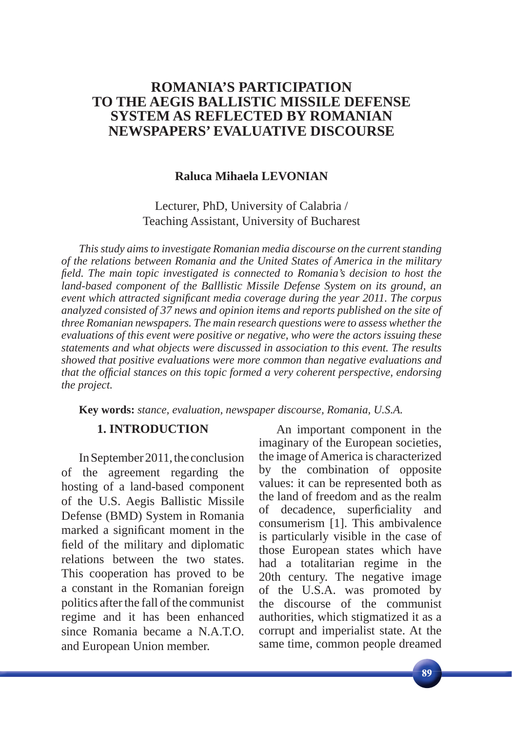#### **Raluca Mihaela LEVONIAN**

Lecturer, PhD, University of Calabria / Teaching Assistant, University of Bucharest

*This study aims to investigate Romanian media discourse on the current standing of the relations between Romania and the United States of America in the military field. The main topic investigated is connected to Romania's decision to host the land-based component of the Balllistic Missile Defense System on its ground, an event which attracted signifi cant media coverage during the year 2011. The corpus analyzed consisted of 37 news and opinion items and reports published on the site of three Romanian newspapers. The main research questions were to assess whether the evaluations of this event were positive or negative, who were the actors issuing these statements and what objects were discussed in association to this event. The results showed that positive evaluations were more common than negative evaluations and that the offi cial stances on this topic formed a very coherent perspective, endorsing the project.* 

**Key words:** *stance, evaluation, newspaper discourse, Romania, U.S.A.*

#### **1. INTRODUCTION**

In September 2011, the conclusion of the agreement regarding the hosting of a land-based component of the U.S. Aegis Ballistic Missile Defense (BMD) System in Romania marked a significant moment in the field of the military and diplomatic relations between the two states. This cooperation has proved to be a constant in the Romanian foreign politics after the fall of the communist regime and it has been enhanced since Romania became a N.A.T.O. and European Union member.

An important component in the imaginary of the European societies, the image of America is characterized by the combination of opposite values: it can be represented both as the land of freedom and as the realm of decadence, superficiality and consumerism [1]. This ambivalence is particularly visible in the case of those European states which have had a totalitarian regime in the 20th century. The negative image of the U.S.A. was promoted by the discourse of the communist authorities, which stigmatized it as a corrupt and imperialist state. At the same time, common people dreamed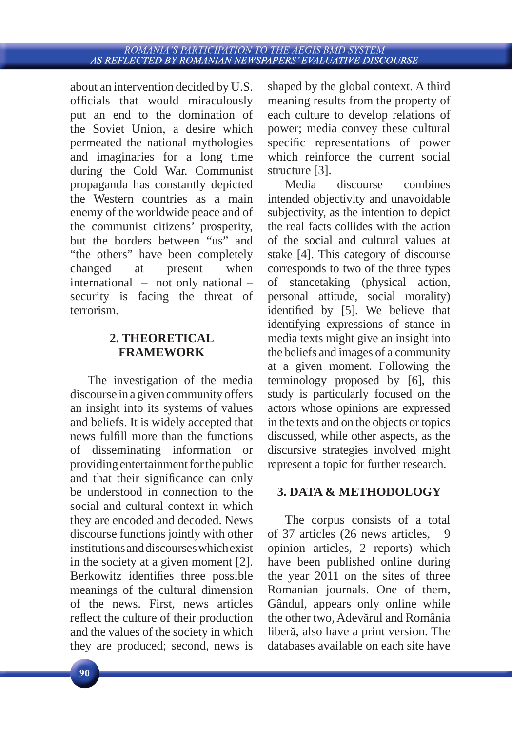about an intervention decided by U.S. officials that would miraculously put an end to the domination of the Soviet Union, a desire which permeated the national mythologies and imaginaries for a long time during the Cold War. Communist propaganda has constantly depicted the Western countries as a main enemy of the worldwide peace and of the communist citizens' prosperity, but the borders between "us" and "the others" have been completely changed at present when international – not only national – security is facing the threat of terrorism.

## **2. THEORETICAL FRAMEWORK**

The investigation of the media discourse in a given community offers an insight into its systems of values and beliefs. It is widely accepted that news fulfill more than the functions of disseminating information or providing entertainment for the public and that their significance can only be understood in connection to the social and cultural context in which they are encoded and decoded. News discourse functions jointly with other institutions and discourses which exist in the society at a given moment [2]. Berkowitz identifies three possible meanings of the cultural dimension of the news. First, news articles reflect the culture of their production and the values of the society in which they are produced; second, news is

shaped by the global context. A third meaning results from the property of each culture to develop relations of power; media convey these cultural specific representations of power which reinforce the current social structure [3].

Media discourse combines intended objectivity and unavoidable subjectivity, as the intention to depict the real facts collides with the action of the social and cultural values at stake [4]. This category of discourse corresponds to two of the three types of stancetaking (physical action, personal attitude, social morality) identified by [5]. We believe that identifying expressions of stance in media texts might give an insight into the beliefs and images of a community at a given moment. Following the terminology proposed by [6], this study is particularly focused on the actors whose opinions are expressed in the texts and on the objects or topics discussed, while other aspects, as the discursive strategies involved might represent a topic for further research.

## **3. DATA & METHODOLOGY**

The corpus consists of a total of 37 articles (26 news articles, opinion articles, 2 reports) which have been published online during the year 2011 on the sites of three Romanian journals. One of them, Gândul, appears only online while the other two, Adevărul and România liberă, also have a print version. The databases available on each site have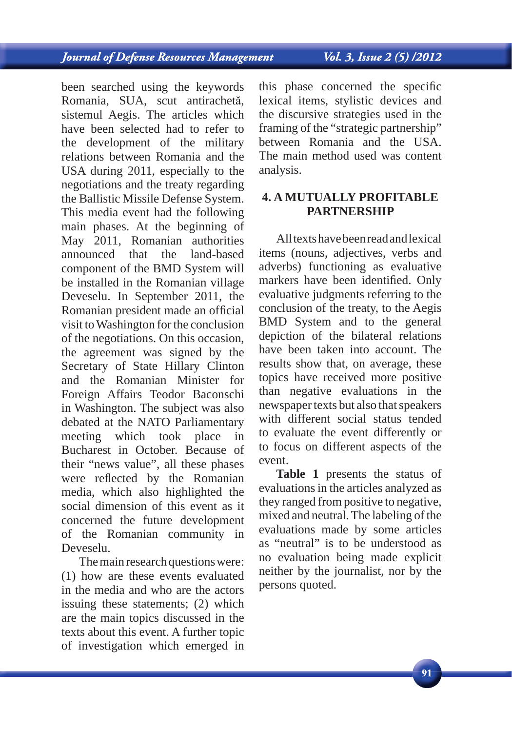# **Journal of Defense Resources Management**

Vol. 3, Issue 2 (5) /2012

been searched using the keywords Romania, SUA, scut antirachetă, sistemul Aegis. The articles which have been selected had to refer to the development of the military relations between Romania and the USA during 2011, especially to the negotiations and the treaty regarding the Ballistic Missile Defense System. This media event had the following main phases. At the beginning of May 2011, Romanian authorities announced that the land-based component of the BMD System will be installed in the Romanian village Deveselu. In September 2011, the Romanian president made an official visit to Washington for the conclusion of the negotiations. On this occasion, the agreement was signed by the Secretary of State Hillary Clinton and the Romanian Minister for Foreign Affairs Teodor Baconschi in Washington. The subject was also debated at the NATO Parliamentary meeting which took place in Bucharest in October. Because of their "news value", all these phases were reflected by the Romanian media, which also highlighted the social dimension of this event as it concerned the future development of the Romanian community in Deveselu.

The main research questions were: (1) how are these events evaluated in the media and who are the actors issuing these statements; (2) which are the main topics discussed in the texts about this event. A further topic of investigation which emerged in this phase concerned the specific lexical items, stylistic devices and the discursive strategies used in the framing of the "strategic partnership" between Romania and the USA. The main method used was content analysis.

### **4. A MUTUALLY PROFITABLE PARTNERSHIP**

All texts have been read and lexical items (nouns, adjectives, verbs and adverbs) functioning as evaluative markers have been identified. Only evaluative judgments referring to the conclusion of the treaty, to the Aegis BMD System and to the general depiction of the bilateral relations have been taken into account. The results show that, on average, these topics have received more positive than negative evaluations in the newspaper texts but also that speakers with different social status tended to evaluate the event differently or to focus on different aspects of the event.

**Table 1** presents the status of evaluations in the articles analyzed as they ranged from positive to negative, mixed and neutral. The labeling of the evaluations made by some articles as "neutral" is to be understood as no evaluation being made explicit neither by the journalist, nor by the persons quoted.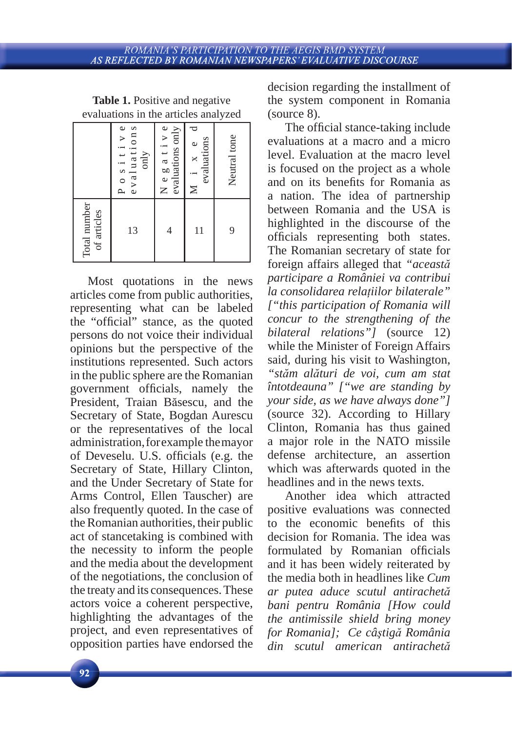|                             | evaluations<br>Positive<br>only | Negative<br>evaluations only | evaluations<br>$\circ$<br>$\times$<br>$\geq$ | Neutral tone |
|-----------------------------|---------------------------------|------------------------------|----------------------------------------------|--------------|
| Total number<br>of articles | 13                              |                              | 11                                           | 9            |

**Table 1.** Positive and negative evaluations in the articles analyzed

Most quotations in the news articles come from public authorities, representing what can be labeled the "official" stance, as the quoted persons do not voice their individual opinions but the perspective of the institutions represented. Such actors in the public sphere are the Romanian government officials, namely the President, Traian Băsescu, and the Secretary of State, Bogdan Aurescu or the representatives of the local administration, for example the mayor of Deveselu. U.S. officials (e.g. the Secretary of State, Hillary Clinton, and the Under Secretary of State for Arms Control, Ellen Tauscher) are also frequently quoted. In the case of the Romanian authorities, their public act of stancetaking is combined with the necessity to inform the people and the media about the development of the negotiations, the conclusion of the treaty and its consequences. These actors voice a coherent perspective, highlighting the advantages of the project, and even representatives of opposition parties have endorsed the

decision regarding the installment of the system component in Romania (source 8).

The official stance-taking include evaluations at a macro and a micro level. Evaluation at the macro level is focused on the project as a whole and on its benefits for Romania as a nation. The idea of partnership between Romania and the USA is highlighted in the discourse of the officials representing both states. The Romanian secretary of state for foreign affairs alleged that *"această participare a României va contribui la consolidarea relaţiilor bilaterale" ["this participation of Romania will concur to the strengthening of the bilateral relations"]* (source 12) while the Minister of Foreign Affairs said, during his visit to Washington, *"stăm alături de voi, cum am stat întotdeauna" ["we are standing by your side, as we have always done"]* (source 32). According to Hillary Clinton, Romania has thus gained a major role in the NATO missile defense architecture, an assertion which was afterwards quoted in the headlines and in the news texts.

Another idea which attracted positive evaluations was connected to the economic benefits of this decision for Romania. The idea was formulated by Romanian officials and it has been widely reiterated by the media both in headlines like *Cum ar putea aduce scutul antirachetă bani pentru România [How could the antimissile shield bring money for Romania]; Ce câştigă România din scutul american antirachetă*

92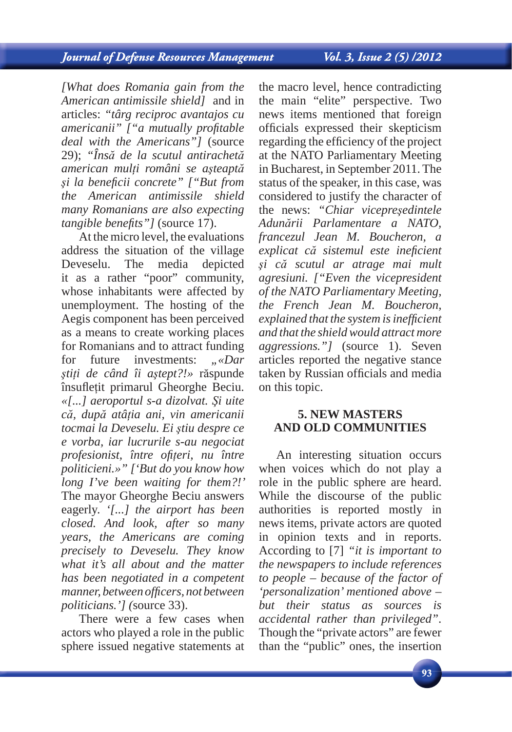# **Journal of Defense Resources Management**

Vol. 3, Issue 2 (5) /2012

*[What does Romania gain from the American antimissile shield]* and in articles: *"târg reciproc avantajos cu americanii*" ["*a mutually profitable deal with the Americans"]* (source 29); *"Însă de la scutul antirachetă american mulţi români se aşteaptă şi la benefi cii concrete" ["But from the American antimissile shield many Romanians are also expecting tangible benefits"* ] (source 17).

At the micro level, the evaluations address the situation of the village Deveselu. The media depicted it as a rather "poor" community, whose inhabitants were affected by unemployment. The hosting of the Aegis component has been perceived as a means to create working places for Romanians and to attract funding for future investments:  $\mathcal{N}$ *w*. *ştiţi de când îi aştept?!»* răspunde însufletit primarul Gheorghe Beciu. *«[...] aeroportul s-a dizolvat. Şi uite că, după atâţia ani, vin americanii tocmai la Deveselu. Ei ştiu despre ce e vorba, iar lucrurile s-au negociat profesionist, între ofiţeri, nu între politicieni.»" ['But do you know how long I've been waiting for them?!'*  The mayor Gheorghe Beciu answers eagerly. *'[...] the airport has been closed. And look, after so many years, the Americans are coming precisely to Deveselu. They know what it's all about and the matter has been negotiated in a competent manner, between offi cers, not between politicians.'] (*source 33).

There were a few cases when actors who played a role in the public sphere issued negative statements at

the macro level, hence contradicting the main "elite" perspective. Two news items mentioned that foreign officials expressed their skepticism regarding the efficiency of the project at the NATO Parliamentary Meeting in Bucharest, in September 2011. The status of the speaker, in this case, was considered to justify the character of the news: *"Chiar vicepreşedintele Adunării Parlamentare a NATO, francezul Jean M. Boucheron, a explicat că sistemul este inefi cient şi că scutul ar atrage mai mult agresiuni. ["Even the vicepresident of the NATO Parliamentary Meeting, the French Jean M. Boucheron, explained that the system is ineffi cient and that the shield would attract more aggressions."* [source 1]. Seven articles reported the negative stance taken by Russian officials and media on this topic.

#### **5. NEW MASTERS AND OLD COMMUNITIES**

An interesting situation occurs when voices which do not play a role in the public sphere are heard. While the discourse of the public authorities is reported mostly in news items, private actors are quoted in opinion texts and in reports. According to [7] *"it is important to the newspapers to include references to people – because of the factor of 'personalization' mentioned above – but their status as sources is accidental rather than privileged"*. Though the "private actors" are fewer than the "public" ones, the insertion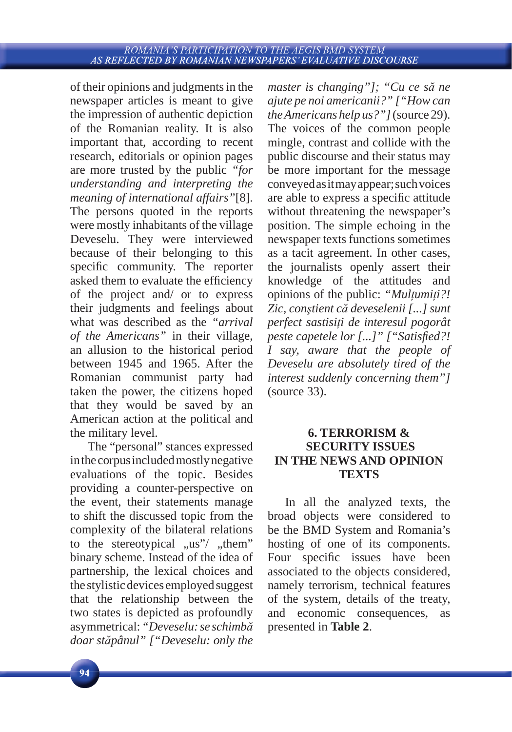of their opinions and judgments in the newspaper articles is meant to give the impression of authentic depiction of the Romanian reality. It is also important that, according to recent research, editorials or opinion pages are more trusted by the public *"for understanding and interpreting the meaning of international affairs"*[8]. The persons quoted in the reports were mostly inhabitants of the village Deveselu. They were interviewed because of their belonging to this specific community. The reporter asked them to evaluate the efficiency of the project and/ or to express their judgments and feelings about what was described as the *"arrival of the Americans"* in their village, an allusion to the historical period between 1945 and 1965. After the Romanian communist party had taken the power, the citizens hoped that they would be saved by an American action at the political and the military level.

The "personal" stances expressed in the corpus included mostly negative evaluations of the topic. Besides providing a counter-perspective on the event, their statements manage to shift the discussed topic from the complexity of the bilateral relations to the stereotypical  $\mu$ us"/  $\mu$ them" binary scheme. Instead of the idea of partnership, the lexical choices and the stylistic devices employed suggest that the relationship between the two states is depicted as profoundly asymmetrical: *"Deveselu: se schimbă doar stăpânul" ["Deveselu: only the* 

*master is changing"]; "Cu ce să ne ajute pe noi americanii?" ["How can the Americans help us?"]* (source 29). The voices of the common people mingle, contrast and collide with the public discourse and their status may be more important for the message conveyed as it may appear; such voices are able to express a specific attitude without threatening the newspaper's position. The simple echoing in the newspaper texts functions sometimes as a tacit agreement. In other cases, the journalists openly assert their knowledge of the attitudes and opinions of the public: *"Mulţumiţi?! Zic, conştient că deveselenii [...] sunt perfect sastisiţi de interesul pogorât peste capetele lor* [...]" ["Satisfied?! *I say, aware that the people of Deveselu are absolutely tired of the interest suddenly concerning them"]* (source 33).

## **6. TERRORISM & SECURITY ISSUES IN THE NEWS AND OPINION TEXTS**

In all the analyzed texts, the broad objects were considered to be the BMD System and Romania's hosting of one of its components. Four specific issues have been associated to the objects considered, namely terrorism, technical features of the system, details of the treaty, and economic consequences, as presented in **Table 2**.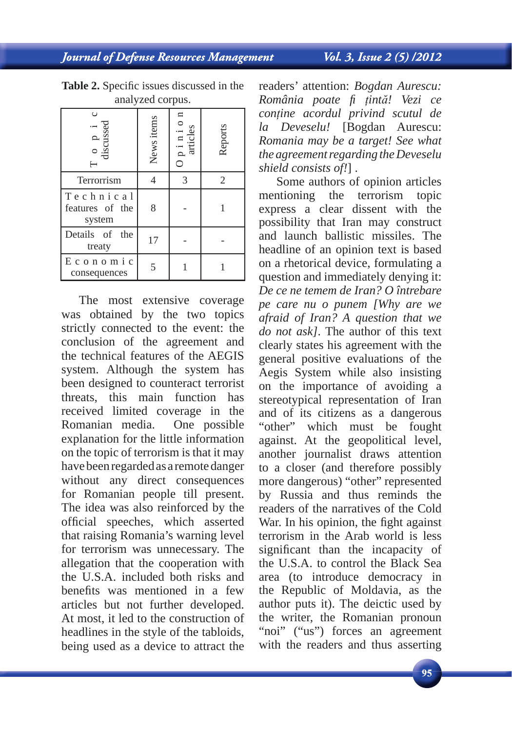Journal of Defense Resources Management

| $\circ$<br>discussed                   | News items | ticles | Reports |
|----------------------------------------|------------|--------|---------|
| Terrorrism                             |            | 3      | 2       |
| Technical<br>features of the<br>system | 8          |        |         |
| Details of the<br>treaty               | 17         |        |         |
| Economic<br>consequences               |            |        |         |

Table 2. Specific issues discussed in the analyzed corpus.

The most extensive coverage was obtained by the two topics strictly connected to the event: the conclusion of the agreement and the technical features of the AEGIS system. Although the system has been designed to counteract terrorist threats, this main function has received limited coverage in the Romanian media. One possible explanation for the little information on the topic of terrorism is that it may have been regarded as a remote danger without any direct consequences for Romanian people till present. The idea was also reinforced by the official speeches, which asserted that raising Romania's warning level for terrorism was unnecessary. The allegation that the cooperation with the U.S.A. included both risks and benefits was mentioned in a few articles but not further developed. At most, it led to the construction of headlines in the style of the tabloids, being used as a device to attract the

readers' attention: *Bogdan Aurescu: România poate fi ţintă! Vezi ce conţine acordul privind scutul de la Deveselu!* [Bogdan Aurescu: *Romania may be a target! See what the agreement regarding the Deveselu shield consists of!*] .

Some authors of opinion articles mentioning the terrorism topic express a clear dissent with the possibility that Iran may construct and launch ballistic missiles. The headline of an opinion text is based on a rhetorical device, formulating a question and immediately denying it: *De ce ne temem de Iran? O întrebare pe care nu o punem [Why are we afraid of Iran? A question that we do not ask]*. The author of this text clearly states his agreement with the general positive evaluations of the Aegis System while also insisting on the importance of avoiding a stereotypical representation of Iran and of its citizens as a dangerous "other" which must be fought against. At the geopolitical level, another journalist draws attention to a closer (and therefore possibly more dangerous) "other" represented by Russia and thus reminds the readers of the narratives of the Cold War. In his opinion, the fight against terrorism in the Arab world is less significant than the incapacity of the U.S.A. to control the Black Sea area (to introduce democracy in the Republic of Moldavia, as the author puts it). The deictic used by the writer, the Romanian pronoun "noi" ("us") forces an agreement with the readers and thus asserting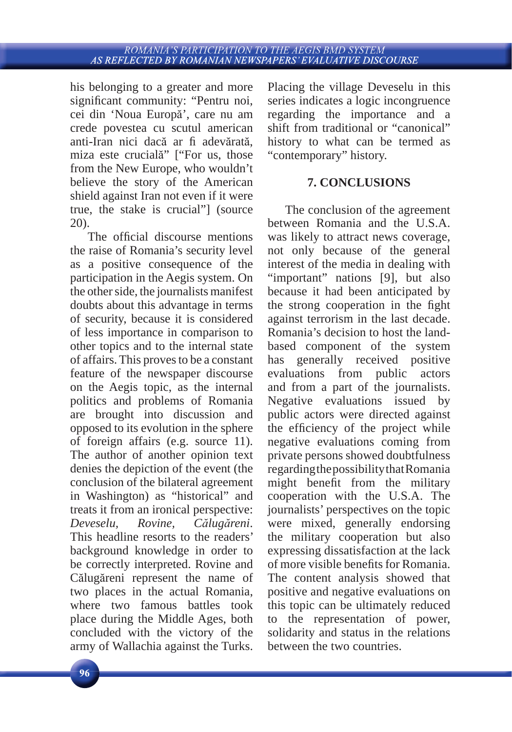his belonging to a greater and more significant community: "Pentru noi, cei din 'Noua Europă', care nu am crede povestea cu scutul american anti-Iran nici dacă ar fi adevărată, miza este crucială" ["For us, those from the New Europe, who wouldn't believe the story of the American shield against Iran not even if it were true, the stake is crucial"] (source 20).

The official discourse mentions the raise of Romania's security level as a positive consequence of the participation in the Aegis system. On the other side, the journalists manifest doubts about this advantage in terms of security, because it is considered of less importance in comparison to other topics and to the internal state of affairs. This proves to be a constant feature of the newspaper discourse on the Aegis topic, as the internal politics and problems of Romania are brought into discussion and opposed to its evolution in the sphere of foreign affairs (e.g. source 11). The author of another opinion text denies the depiction of the event (the conclusion of the bilateral agreement in Washington) as "historical" and treats it from an ironical perspective: *Deveselu, Rovine, Călugăreni*. This headline resorts to the readers' background knowledge in order to be correctly interpreted. Rovine and Călugăreni represent the name of two places in the actual Romania, where two famous battles took place during the Middle Ages, both concluded with the victory of the army of Wallachia against the Turks.

Placing the village Deveselu in this series indicates a logic incongruence regarding the importance and a shift from traditional or "canonical" history to what can be termed as "contemporary" history.

### **7. CONCLUSIONS**

The conclusion of the agreement between Romania and the U.S.A. was likely to attract news coverage, not only because of the general interest of the media in dealing with "important" nations [9], but also because it had been anticipated by the strong cooperation in the fight against terrorism in the last decade. Romania's decision to host the landbased component of the system has generally received positive evaluations from public actors and from a part of the journalists. Negative evaluations issued by public actors were directed against the efficiency of the project while negative evaluations coming from private persons showed doubtfulness regarding the possibility that Romania might benefit from the military cooperation with the U.S.A. The journalists' perspectives on the topic were mixed, generally endorsing the military cooperation but also expressing dissatisfaction at the lack of more visible benefits for Romania. The content analysis showed that positive and negative evaluations on this topic can be ultimately reduced to the representation of power, solidarity and status in the relations between the two countries.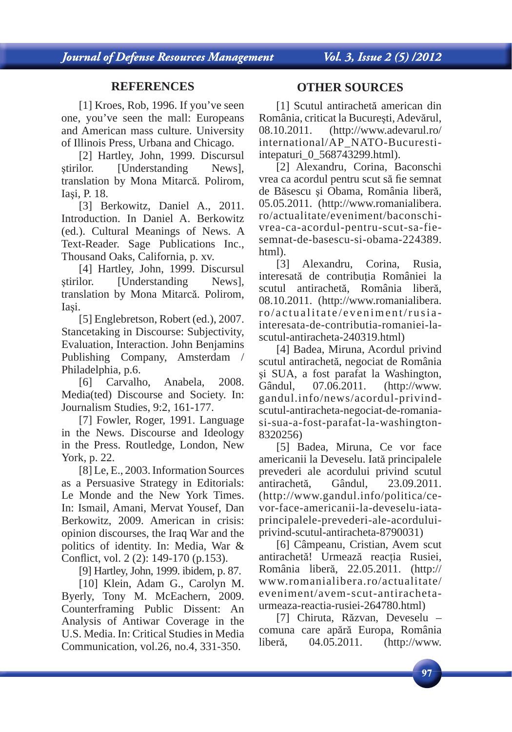#### **REFERENCES**

[1] Kroes, Rob, 1996. If you've seen one, you've seen the mall: Europeans and American mass culture. University of Illinois Press, Urbana and Chicago.

[2] Hartley, John, 1999. Discursul ştirilor. [Understanding News], translation by Mona Mitarcă. Polirom, Iaşi, P. 18.

[3] Berkowitz, Daniel A., 2011. Introduction. In Daniel A. Berkowitz (ed.). Cultural Meanings of News. A Text-Reader. Sage Publications Inc., Thousand Oaks, California, p. xv.

[4] Hartley, John, 1999. Discursul ştirilor. [Understanding News], translation by Mona Mitarcă. Polirom, Iaşi.

[5] Englebretson, Robert (ed.), 2007. Stancetaking in Discourse: Subjectivity, Evaluation, Interaction. John Benjamins Publishing Company, Amsterdam / Philadelphia, p.6.

[6] Carvalho, Anabela, 2008. Media(ted) Discourse and Society. In: Journalism Studies, 9:2, 161-177.

[7] Fowler, Roger, 1991. Language in the News. Discourse and Ideology in the Press. Routledge, London, New York, p. 22.

[8] Le, E., 2003. Information Sources as a Persuasive Strategy in Editorials: Le Monde and the New York Times. In: Ismail, Amani, Mervat Yousef, Dan Berkowitz, 2009. American in crisis: opinion discourses, the Iraq War and the politics of identity. In: Media, War & Conflict, vol. 2 (2): 149-170 (p.153).

[9] Hartley, John, 1999. ibidem, p. 87.

[10] Klein, Adam G., Carolyn M. Byerly, Tony M. McEachern, 2009. Counterframing Public Dissent: An Analysis of Antiwar Coverage in the U.S. Media. In: Critical Studies in Media Communication, vol.26, no.4, 331-350.

#### **OTHER SOURCES**

[1] Scutul antirachetă american din România, criticat la Bucureşti, Adevărul, 08.10.2011. (http://www.adevarul.ro/ international/AP\_NATO-Bucurestiintepaturi\_0\_568743299.html).

[2] Alexandru, Corina, Baconschi vrea ca acordul pentru scut să fie semnat de Băsescu şi Obama, România liberă, 05.05.2011. (http://www.romanialibera. ro/actualitate/eveniment/baconschivrea-ca-acordul-pentru-scut-sa-fiesemnat-de-basescu-si-obama-224389. html).

[3] Alexandru, Corina, Rusia, interesată de contributia României la scutul antirachetă, România liberă, 08.10.2011. (http://www.romanialibera. ro/actualitate/eveniment/rusiainteresata-de-contributia-romaniei-lascutul-antiracheta-240319.html)

[4] Badea, Miruna, Acordul privind scutul antirachetă, negociat de România şi SUA, a fost parafat la Washington, Gândul, 07.06.2011. (http://www. gandul.info/news/acordul-privindscutul-antiracheta-negociat-de-romaniasi-sua-a-fost-parafat-la-washington-8320256)

[5] Badea, Miruna, Ce vor face americanii la Deveselu. Iată principalele prevederi ale acordului privind scutul antirachetă, Gândul, 23.09.2011. (http://www.gandul.info/politica/cevor-face-americanii-la-deveselu-iataprincipalele-prevederi-ale-acorduluiprivind-scutul-antiracheta-8790031)

[6] Câmpeanu, Cristian, Avem scut antirachetă! Urmează reacția Rusiei, România liberă, 22.05.2011. (http:// www.romanialibera.ro/actualitate/ eveniment/avem-scut-antirachetaurmeaza-reactia-rusiei-264780.html)

[7] Chiruta, Răzvan, Deveselu – comuna care apără Europa, România liberă, 04.05.2011. (http://www.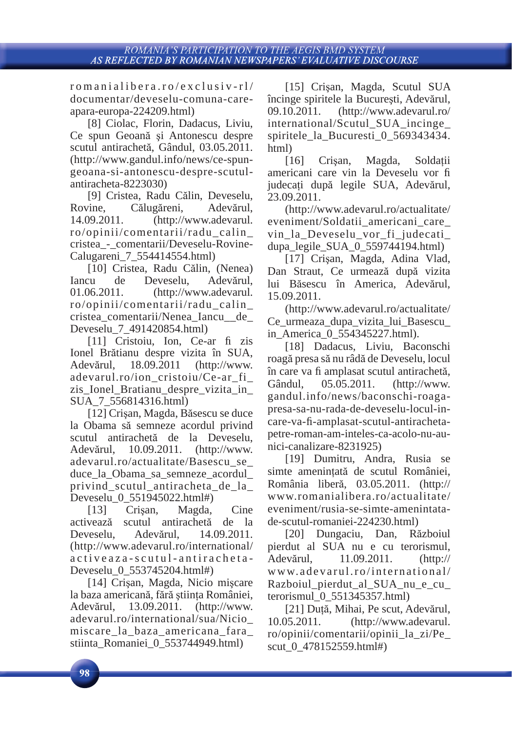romanialibera.ro/exclusiv-rl/ documentar/deveselu-comuna-careapara-europa-224209.html)

[8] Ciolac, Florin, Dadacus, Liviu, Ce spun Geoană şi Antonescu despre scutul antirachetă, Gândul, 03.05.2011. (http://www.gandul.info/news/ce-spungeoana-si-antonescu-despre-scutulantiracheta-8223030)

[9] Cristea, Radu Călin, Deveselu, Rovine, Călugăreni, Adevărul, 14.09.2011. (http://www.adevarul. ro/opinii/comentarii/radu\_calin\_ cristea\_-\_comentarii/Deveselu-Rovine-Calugareni\_7\_554414554.html)

[10] Cristea, Radu Călin, (Nenea) Iancu de Deveselu, Adevărul, 01.06.2011. (http://www.adevarul. ro/opinii/comentarii/radu\_calin\_ cristea\_comentarii/Nenea\_Iancu\_\_de\_ Deveselu\_7\_491420854.html)

[11] Cristoiu, Ion, Ce-ar fi zis Ionel Brătianu despre vizita în SUA, Adevărul, 18.09.2011 (http://www. adevarul.ro/ion\_cristoiu/Ce-ar\_fi\_ zis\_Ionel\_Bratianu\_despre\_vizita\_in\_ SUA\_7\_556814316.html)

[12] Crişan, Magda, Băsescu se duce la Obama să semneze acordul privind scutul antirachetă de la Deveselu, Adevărul, 10.09.2011. (http://www. adevarul.ro/actualitate/Basescu\_se\_ duce\_la\_Obama\_sa\_semneze\_acordul\_ privind scutul antiracheta de la Deveselu\_0\_551945022.html#)

[13] Crişan, Magda, Cine activează scutul antirachetă de la Deveselu, Adevărul, 14.09.2011. (http://www.adevarul.ro/international/ activeaza-scutul-antiracheta-Deveselu\_0\_553745204.html#)

[14] Crişan, Magda, Nicio mişcare la baza americană, fără ştiinţa României, Adevărul, 13.09.2011. (http://www. adevarul.ro/international/sua/Nicio\_ miscare\_la\_baza\_americana\_fara\_ stiinta\_Romaniei\_0\_553744949.html)

[15] Crişan, Magda, Scutul SUA încinge spiritele la Bucureşti, Adevărul, 09.10.2011. (http://www.adevarul.ro/ international/Scutul\_SUA\_incinge\_ spiritele la Bucuresti 0 569343434. html)

[16] Crișan, Magda, Soldații americani care vin la Deveselu vor fi judecaţi după legile SUA, Adevărul, 23.09.2011.

(http://www.adevarul.ro/actualitate/ eveniment/Soldatii\_americani\_care\_ vin la Deveselu vor fi judecati dupa legile SUA  $0.559744194.html$ 

[17] Crişan, Magda, Adina Vlad, Dan Straut, Ce urmează după vizita lui Băsescu în America, Adevărul, 15.09.2011.

(http://www.adevarul.ro/actualitate/ Ce\_urmeaza\_dupa\_vizita\_lui\_Basescu\_ in\_America\_0\_554345227.html).

[18] Dadacus, Liviu, Baconschi roagă presa să nu râdă de Deveselu, locul în care va fi amplasat scutul antirachetă, Gândul, 05.05.2011. (http://www. gandul.info/news/baconschi-roagapresa-sa-nu-rada-de-deveselu-locul-incare-va-fi -amplasat-scutul-antirachetapetre-roman-am-inteles-ca-acolo-nu-aunici-canalizare-8231925)

[19] Dumitru, Andra, Rusia se simte ameninţată de scutul României, România liberă, 03.05.2011. (http:// www.romanialibera.ro/actualitate/ eveniment/rusia-se-simte-amenintatade-scutul-romaniei-224230.html)

[20] Dungaciu, Dan, Războiul pierdut al SUA nu e cu terorismul, Adevărul, 11.09.2011. (http:// www.adevarul.ro/international/ Razboiul pierdut al SUA nu e cu terorismul\_0\_551345357.html)

[21] Dută, Mihai, Pe scut, Adevărul, 10.05.2011. (http://www.adevarul. ro/opinii/comentarii/opinii\_la\_zi/Pe\_ scut 0 478152559.html#)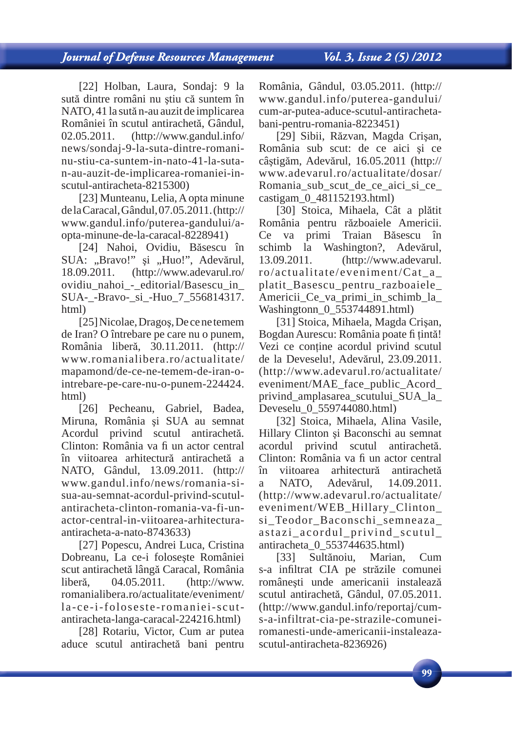[22] Holban, Laura, Sondaj: 9 la sută dintre români nu ştiu că suntem în NATO, 41 la sută n-au auzit de implicarea României în scutul antirachetă, Gândul, 02.05.2011. (http://www.gandul.info/ news/sondaj-9-la-suta-dintre-romaninu-stiu-ca-suntem-in-nato-41-la-sutan-au-auzit-de-implicarea-romaniei-inscutul-antiracheta-8215300)

[23] Munteanu, Lelia, A opta minune de la Caracal, Gândul, 07.05.2011. (http:// www.gandul.info/puterea-gandului/aopta-minune-de-la-caracal-8228941)

[24] Nahoi, Ovidiu, Băsescu în SUA: "Bravo!" și "Huo!", Adevărul, 18.09.2011. (http://www.adevarul.ro/ ovidiu nahoi - editorial/Basescu in SUA-\_-Bravo-\_si\_-Huo\_7\_556814317. html)

[25] Nicolae, Dragoş, De ce ne temem de Iran? O întrebare pe care nu o punem, România liberă, 30.11.2011. (http:// www.romanialibera.ro/actualitate/ mapamond/de-ce-ne-temem-de-iran-ointrebare-pe-care-nu-o-punem-224424. html)

[26] Pecheanu, Gabriel, Badea, Miruna, România şi SUA au semnat Acordul privind scutul antirachetă. Clinton: România va fi un actor central în viitoarea arhitectură antirachetă a NATO, Gândul, 13.09.2011. (http:// www.gandul.info/news/romania-sisua-au-semnat-acordul-privind-scutulantiracheta-clinton-romania-va-fi-unactor-central-in-viitoarea-arhitecturaantiracheta-a-nato-8743633)

[27] Popescu, Andrei Luca, Cristina Dobreanu, La ce-i foloseşte României scut antirachetă lângă Caracal, România liberă, 04.05.2011. (http://www. romanialibera.ro/actualitate/eveniment/ la-ce-i-foloseste-romaniei-scutantiracheta-langa-caracal-224216.html)

[28] Rotariu, Victor, Cum ar putea aduce scutul antirachetă bani pentru România, Gândul, 03.05.2011. (http:// www.gandul.info/puterea-gandului/ cum-ar-putea-aduce-scutul-antirachetabani-pentru-romania-8223451)

[29] Sibii, Răzvan, Magda Crişan, România sub scut: de ce aici şi ce câştigăm, Adevărul, 16.05.2011 (http:// www.adevarul.ro/actualitate/dosar/ Romania sub scut de ce aici si ce castigam\_0\_481152193.html)

[30] Stoica, Mihaela, Cât a plătit România pentru războaiele Americii. Ce va primi Traian Băsescu în schimb la Washington?, Adevărul, 13.09.2011. (http://www.adevarul. ro/actualitate/eveniment/Cat\_a\_ platit\_Basescu\_pentru\_razboaiele\_ Americii\_Ce\_va\_primi\_in\_schimb\_la\_ Washingtonn 0 553744891.html)

[31] Stoica, Mihaela, Magda Crişan, Bogdan Aurescu: România poate fi tintă! Vezi ce contine acordul privind scutul de la Deveselu!, Adevărul, 23.09.2011. (http://www.adevarul.ro/actualitate/ eveniment/MAE\_face\_public\_Acord\_ privind\_amplasarea\_scutului\_SUA\_la\_ Deveselu 0 559744080.html)

[32] Stoica, Mihaela, Alina Vasile, Hillary Clinton şi Baconschi au semnat acordul privind scutul antirachetă. Clinton: România va fi un actor central în viitoarea arhitectură antirachetă a NATO, Adevărul, 14.09.2011. (http://www.adevarul.ro/actualitate/ eveniment/WEB\_Hillary\_Clinton\_ si\_Teodor\_Baconschi\_semneaza\_ astazi\_acordul\_privind\_scutul\_ antiracheta\_0\_553744635.html)

[33] Sultănoiu, Marian, Cum s-a infiltrat CIA pe străzile comunei româneşti unde americanii instalează scutul antirachetă, Gândul, 07.05.2011. (http://www.gandul.info/reportaj/cums-a-infiltrat-cia-pe-strazile-comuneiromanesti-unde-americanii-instaleazascutul-antiracheta-8236926)